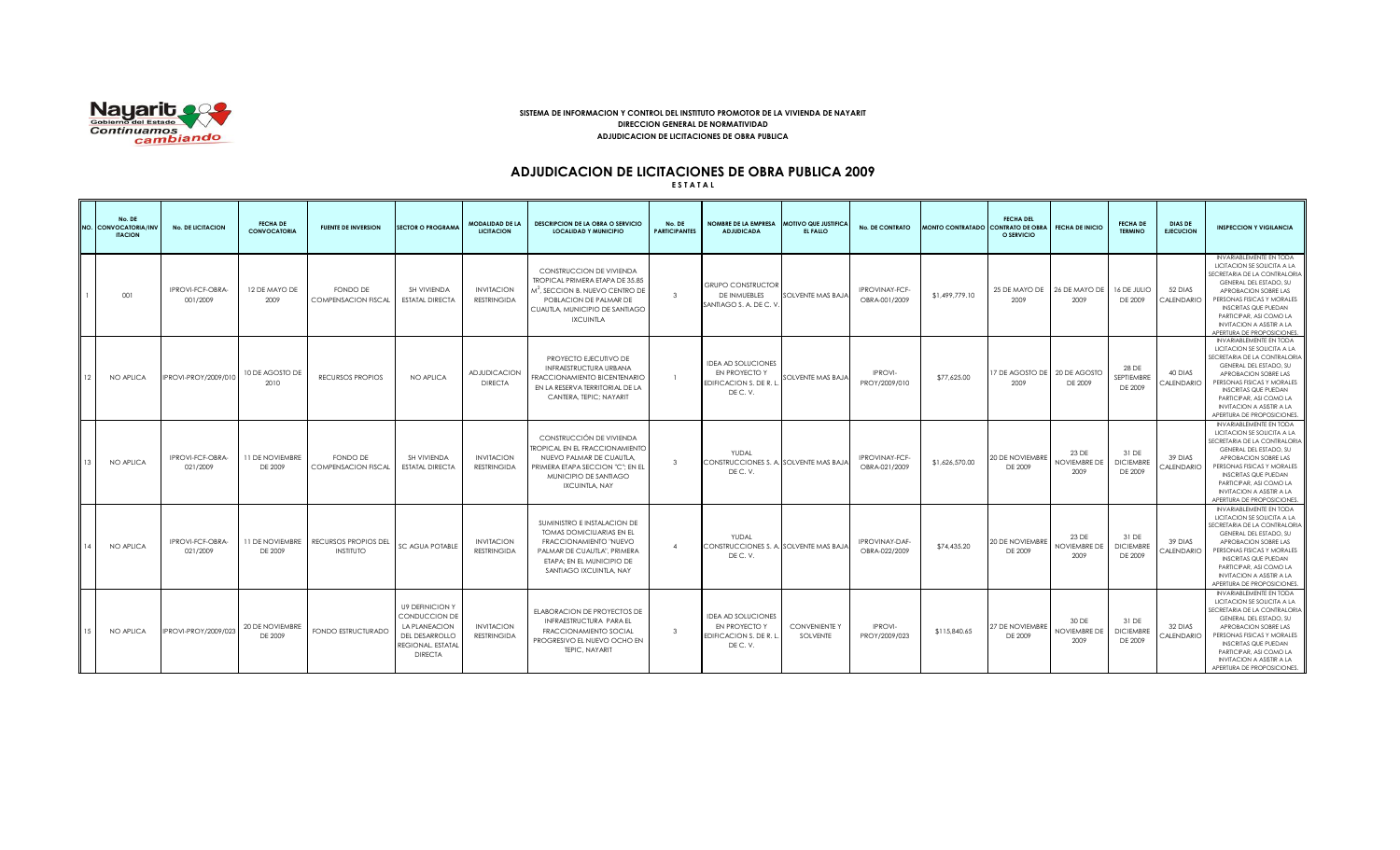

### **SISTEMA DE INFORMACION Y CONTROL DEL INSTITUTO PROMOTOR DE LA VIVIENDA DE NAYARIT DIRECCION GENERAL DE NORMATIVIDAD ADJUDICACION DE LICITACIONES DE OBRA PUBLICA**

# **ADJUDICACION DE LICITACIONES DE OBRA PUBLICA 2009**

**E S T A T A L**

|    | No. DE<br>NO. CONVOCATORIA/INV<br><b>ITACION</b> | <b>No. DE LICITACION</b>     | <b>FECHA DE</b><br><b>CONVOCATORIA</b> | <b>FUENTE DE INVERSION</b>               | <b>SECTOR O PROGRAMA</b>                                                                                          | <b>MODALIDAD DE LA</b><br><b>LICITACION</b> | <b>DESCRIPCION DE LA OBRA O SERVICIO</b><br><b>LOCALIDAD Y MUNICIPIO</b>                                                                                                                | No. DE<br><b>PARTICIPANTES</b> | NOMBRE DE LA EMPRESA MOTIVO QUE JUSTIFICA<br><b>ADJUDICADA</b>                  | EL FALLO                         | <b>No. DE CONTRATO</b>          | MONTO CONTRATADO CONTRATO DE OBRA | <b>FECHA DEL</b><br>O SERVICIO | <b>FECHA DE INICIO</b>        | <b>FECHA DE</b><br><b>TERMINO</b>    | <b>DIAS DE</b><br><b>EJECUCION</b> | <b>INSPECCION Y VIGILANCIA</b>                                                                                                                                                                                                                                                                            |
|----|--------------------------------------------------|------------------------------|----------------------------------------|------------------------------------------|-------------------------------------------------------------------------------------------------------------------|---------------------------------------------|-----------------------------------------------------------------------------------------------------------------------------------------------------------------------------------------|--------------------------------|---------------------------------------------------------------------------------|----------------------------------|---------------------------------|-----------------------------------|--------------------------------|-------------------------------|--------------------------------------|------------------------------------|-----------------------------------------------------------------------------------------------------------------------------------------------------------------------------------------------------------------------------------------------------------------------------------------------------------|
|    | 001                                              | IPROVI-FCF-OBRA-<br>001/2009 | 12 DE MAYO DE<br>2009                  | FONDO DE<br><b>COMPENSACION FISCAL</b>   | SH VIVIENDA<br><b>ESTATAL DIRECTA</b>                                                                             | <b>INVITACION</b><br><b>RESTRINGIDA</b>     | CONSTRUCCION DE VIVIENDA<br><b>TROPICAL PRIMERA ETAPA DE 35.85</b><br>$M2$ , SECCION B. NUEVO CENTRO DE<br>POBLACION DE PALMAR DE<br>CUAUTLA, MUNICIPIO DE SANTIAGO<br><b>IXCUINTLA</b> | $\mathcal{R}$                  | <b>GRUPO CONSTRUCTOR</b><br>DE INMUEBLES<br>SANTIAGO S. A. DE C. V.             | SOLVENTE MAS BAJA                | IPROVINAY-FCF-<br>OBRA-001/2009 | \$1,499,779.10                    | 25 DE MAYO DE<br>2009          | 26 DE MAYO DE<br>2009         | 16 DE JULIO<br>DE 2009               | 52 DIAS<br><b>ALENDARIO</b>        | INVARIABLEMENTE EN TODA<br>LICITACION SE SOLICITA A LA<br>SECRETARIA DE LA CONTRALORIA<br>GENERAL DEL ESTADO, SU<br>APROBACION SOBRE LAS<br>PERSONAS FISICAS Y MORALES<br><b>INSCRITAS QUE PUEDAN</b><br>PARTICIPAR, ASI COMO LA<br><b>INVITACION A ASISTIR A LA</b><br>APERTURA DE PROPOSICIONES         |
| 12 | NO APLICA                                        | <b>IPROVI-PROY/2009/010</b>  | 10 DE AGOSTO DE<br>2010                | RECURSOS PROPIOS                         | NO APLICA                                                                                                         | <b>ADJUDICACION</b><br><b>DIRECTA</b>       | PROYECTO EJECUTIVO DE<br>INFRAESTRUCTURA URBANA<br>FRACCIONAMIENTO BICENTENARIO<br>EN LA RESERVA TERRITORIAL DE LA<br>CANTERA, TEPIC: NAYARIT                                           |                                | <b>IDEA AD SOLUCIONES</b><br>EN PROYECTO Y<br>EDIFICACION S. DE R. L.<br>DEC.V. | SOLVENTE MAS BAJA                | <b>IPROVI-</b><br>PROY/2009/010 | \$77,625.00                       | 17 DE AGOSTO DE<br>2009        | 20 DE AGOSTO<br>DE 2009       | 28 DE<br>SEPTIEMBRE<br>DE 2009       | 40 DIAS<br><b>ALENDARIO</b>        | INVARIABLEMENTE EN TODA<br>LICITACION SE SOLICITA A LA<br>SECRETARIA DE LA CONTRALORIA<br>GENERAL DEL ESTADO, SU<br>APROBACION SOBRE LAS<br>PERSONAS FISICAS Y MORALES<br><b>INSCRITAS QUE PUEDAN</b><br>PARTICIPAR, ASI COMO LA<br><b>INVITACION A ASISTIR A LA</b><br>APERTURA DE PROPOSICIONES         |
|    | NO APLICA                                        | IPROVI-FCF-OBRA-<br>021/2009 | 11 DE NOVIEMBRE<br>DE 2009             | FONDO DE<br><b>COMPENSACION FISCAL</b>   | SH VIVIENDA<br><b>ESTATAL DIRECTA</b>                                                                             | <b>INVITACION</b><br><b>RESTRINGIDA</b>     | CONSTRUCCIÓN DE VIVIENDA<br><b>TROPICAL EN EL FRACCIONAMIENTO</b><br>NUEVO PALMAR DE CUAUTLA.<br>PRIMERA ETAPA SECCION "C"; EN EL<br>MUNICIPIO DE SANTIAGO<br><b>IXCUINTLA, NAY</b>     | $\mathbf{R}$                   | YUDAL<br>CONSTRUCCIONES S. A. SOLVENTE MAS BAJA<br>DEC.V.                       |                                  | IPROVINAY-FCF-<br>OBRA-021/2009 | \$1,626,570.00                    | 20 DE NOVIEMBRE<br>DE 2009     | 23 DE<br>NOVIEMBRE DE<br>2009 | 31 DE<br><b>DICIEMBRE</b><br>DE 2009 | 39 DIAS<br>CALENDARIO              | INVARIABLEMENTE EN TODA<br>LICITACION SE SOLICITA A LA<br>SECRETARIA DE LA CONTRALORIA<br>GENERAL DEL ESTADO, SU<br>APROBACION SOBRE LAS<br>PERSONAS FISICAS Y MORALES<br><b>INSCRITAS QUE PUEDAN</b><br>PARTICIPAR, ASI COMO LA<br><b>INVITACION A ASISTIR A LA</b><br>APERTURA DE PROPOSICIONES         |
|    | NO APLICA                                        | IPROVI-FCF-OBRA-<br>021/2009 | <b>11 DE NOVIEMBRE</b><br>DE 2009      | RECURSOS PROPIOS DEL<br><b>INSTITUTO</b> | <b>SC AGUA POTABLE</b>                                                                                            | <b>INVITACION</b><br><b>RESTRINGIDA</b>     | SUMINISTRO E INSTALACION DE<br><b>TOMAS DOMICILIARIAS EN EL</b><br>FRACCIONAMIENTO "NUEVO<br>PALMAR DE CUAUTLA", PRIMERA<br>ETAPA; EN EL MUNICIPIO DE<br>SANTIAGO IXCUINTLA, NAY        | $\Delta$                       | YUDAL<br>CONSTRUCCIONES S. A. SOLVENTE MAS BAJA<br>DEC.V.                       |                                  | IPROVINAY-DAF-<br>OBRA-022/2009 | \$74,435.20                       | 20 DE NOVIEMBRE<br>DE 2009     | 23 DE<br>NOVIEMBRE DE<br>2009 | 31 DE<br><b>DICIEMBRE</b><br>DE 2009 | 39 DIAS<br><b>CALENDARIO</b>       | INVARIABLEMENTE EN TODA<br>LICITACION SE SOLICITA A LA<br>SECRETARIA DE LA CONTRALORIA<br>GENERAL DEL ESTADO, SU<br>APROBACION SOBRE LAS<br>PERSONAS FISICAS Y MORALES<br><b>INSCRITAS QUE PUEDAN</b><br>PARTICIPAR, ASI COMO LA<br><b>INVITACION A ASISTIR A LA</b><br>APERTURA DE PROPOSICIONES         |
|    | NO APLICA                                        | <b>IPROVI-PROY/2009/023</b>  | 20 DE NOVIEMBRE<br>DE 2009             | FONDO ESTRUCTURADO                       | <b>U9 DEFINICION Y</b><br>CONDUCCION DE<br>LA PLANEACION<br>DEL DESARROLLO<br>REGIONAL, ESTATAL<br><b>DIRECTA</b> | <b>INVITACION</b><br><b>RESTRINGIDA</b>     | ELABORACION DE PROYECTOS DE<br>INFRAESTRUCTURA PARA EL<br><b>FRACCIONAMIENTO SOCIAL</b><br>PROGRESIVO EL NUEVO OCHO EN<br>TEPIC, NAYARIT                                                | $\mathbf{3}$                   | <b>IDEA AD SOLUCIONES</b><br>EN PROYECTO Y<br>EDIFICACION S. DE R. L<br>DEC.V.  | <b>CONVENIENTE Y</b><br>SOLVENTE | <b>IPROVI-</b><br>PROY/2009/023 | \$115.840.65                      | 27 DE NOVIEMBRE<br>DE 2009     | 30 DE<br>NOVIEMBRE DE<br>2009 | 31 DE<br><b>DICIEMBRE</b><br>DE 2009 | 32 DIAS<br>CALENDARIO              | <b>INVARIABLEMENTE EN TODA</b><br>LICITACION SE SOLICITA A LA<br>SECRETARIA DE LA CONTRALORIA<br>GENERAL DEL ESTADO, SU<br>APROBACION SOBRE LAS<br>PERSONAS FISICAS Y MORALES<br><b>INSCRITAS QUE PUEDAN</b><br>PARTICIPAR, ASI COMO LA<br><b>INVITACION A ASISTIR A LA</b><br>APERTURA DE PROPOSICIONES. |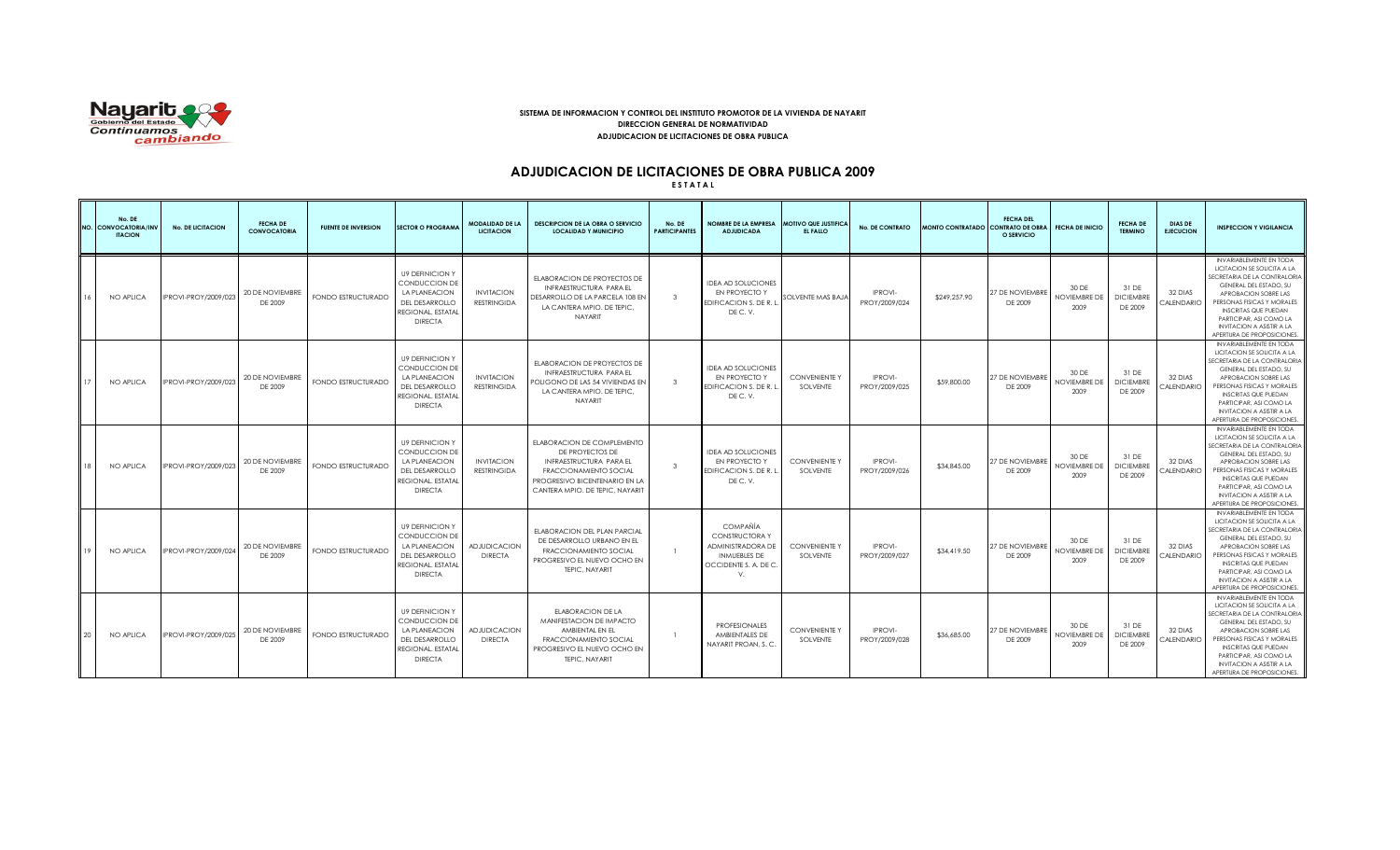

### **SISTEMA DE INFORMACION Y CONTROL DEL INSTITUTO PROMOTOR DE LA VIVIENDA DE NAYARIT DIRECCION GENERAL DE NORMATIVIDAD ADJUDICACION DE LICITACIONES DE OBRA PUBLICA**

# **ADJUDICACION DE LICITACIONES DE OBRA PUBLICA 2009**

**E S T A T A L**

|    | No. DE<br>NO. CONVOCATORIA/INV<br><b>ITACION</b> | <b>No. DE LICITACION</b>    | <b>FECHA DE</b><br><b>CONVOCATORIA</b> | <b>FUENTE DE INVERSION</b> | <b>SECTOR O PROGRAMA</b>                                                                                          | <b>MODALIDAD DE LA</b><br><b>LICITACION</b> | <b>DESCRIPCION DE LA OBRA O SERVICIO</b><br><b>LOCALIDAD Y MUNICIPIO</b>                                                                                                      | No. DE<br><b>PARTICIPANTES</b> | NOMBRE DE LA EMPRESA MOTIVO QUE JUSTIFICA<br><b>ADJUDICADA</b>                                                               | EL FALLO                         | <b>No. DE CONTRATO</b>          | MONTO CONTRATADO CONTRATO DE OBRA | <b>FECHA DEL</b><br>O SERVICIO | <b>FECHA DE INICIO</b>               | <b>FECHA DE</b><br><b>TERMINO</b>    | <b>DIAS DE</b><br><b>EJECUCION</b> | <b>INSPECCION Y VIGILANCIA</b>                                                                                                                                                                                                                                                                           |
|----|--------------------------------------------------|-----------------------------|----------------------------------------|----------------------------|-------------------------------------------------------------------------------------------------------------------|---------------------------------------------|-------------------------------------------------------------------------------------------------------------------------------------------------------------------------------|--------------------------------|------------------------------------------------------------------------------------------------------------------------------|----------------------------------|---------------------------------|-----------------------------------|--------------------------------|--------------------------------------|--------------------------------------|------------------------------------|----------------------------------------------------------------------------------------------------------------------------------------------------------------------------------------------------------------------------------------------------------------------------------------------------------|
|    | NO APLICA                                        | PROVI-PROY/2009/023         | 20 DE NOVIEMBRE<br>DE 2009             | FONDO ESTRUCTURADO         | <b>U9 DEFINICION Y</b><br>CONDUCCION DE<br>LA PLANEACION<br>DEL DESARROLLO<br>REGIONAL. ESTATAI<br><b>DIRECTA</b> | <b>INVITACION</b><br><b>RESTRINGIDA</b>     | ELABORACION DE PROYECTOS DE<br>INFRAESTRUCTURA PARA EL<br>DESARROLLO DE LA PARCELA 108 EN<br>LA CANTERA MPIO, DE TEPIC.<br>NAYARIT                                            | $\mathbf{3}$                   | <b>IDEA AD SOLUCIONES</b><br>EN PROYECTO Y<br>EDIFICACION S. DE R. L.<br>DEC.V.                                              | SOLVENTE MAS BAJA                | <b>IPROVI-</b><br>PROY/2009/024 | \$249,257.90                      | 27 DE NOVIEMBRE<br>DE 2009     | 30 DE<br>NOVIEMBRE DE<br>2009        | 31 DE<br><b>DICIEMBRE</b><br>DE 2009 | 32 DIAS<br><b>ALENDARIO</b>        | INVARIABLEMENTE EN TODA<br>LICITACION SE SOLICITA A LA<br>SECRETARIA DE LA CONTRALORIA<br>GENERAL DEL ESTADO, SU<br>APROBACION SOBRE LAS<br>PERSONAS FISICAS Y MORALES<br><b>INSCRITAS QUE PUEDAN</b><br>PARTICIPAR, ASI COMO LA<br><b>INVITACION A ASISTIR A LA</b><br>APERTURA DE PROPOSICIONES.       |
|    | NO APLICA                                        | PROVI-PROY/2009/023         | 20 DE NOVIEMBRE<br>DE 2009             | FONDO ESTRUCTURADO         | <b>U9 DEFINICION Y</b><br>CONDUCCION DE<br>LA PLANEACION<br>DEL DESARROLLO<br>REGIONAL, ESTATAL<br><b>DIRECTA</b> | <b>INVITACION</b><br><b>RESTRINGIDA</b>     | ELABORACION DE PROYECTOS DE<br>INFRAESTRUCTURA PARA EL<br>POLIGONO DE LAS 54 VIVIENDAS EN<br>LA CANTERA MPIO. DE TEPIC,<br>NAYARIT                                            | $\mathbf{3}$                   | <b>IDEA AD SOLUCIONES</b><br>EN PROYECTO Y<br>EDIFICACION S. DE R. L<br>DEC.V.                                               | <b>CONVENIENTE Y</b><br>SOLVENTE | IPROVI-<br>PROY/2009/025        | \$59,800.00                       | 27 DE NOVIEMBRE<br>DE 2009     | 30 DE<br>NOVIEMBRE DE<br>2009        | 31 DE<br><b>DICIEMBRE</b><br>DE 2009 | 32 DIAS<br>CALENDARIO              | INVARIABLEMENTE EN TODA<br>LICITACION SE SOLICITA A LA<br>SECRETARIA DE LA CONTRALORIA<br>GENERAL DEL ESTADO, SU<br>APROBACION SOBRE LAS<br>PERSONAS FISICAS Y MORALES<br><b>INSCRITAS QUE PUEDAN</b><br>PARTICIPAR, ASI COMO LA<br><b>INVITACION A ASISTIR A LA</b><br>APERTURA DE PROPOSICIONES        |
|    | NO APLICA                                        | <b>IPROVI-PROY/2009/023</b> | 20 DE NOVIEMBRE<br>DE 2009             | FONDO ESTRUCTURADO         | <b>U9 DEFINICION Y</b><br>CONDUCCION DE<br>LA PLANEACION<br>DEL DESARROLLO<br>REGIONAL, ESTATAL<br><b>DIRECTA</b> | <b>INVITACION</b><br><b>RESTRINGIDA</b>     | ELABORACION DE COMPLEMENTO<br>DE PROYECTOS DE<br>INFRAESTRUCTURA PARA EL<br><b>FRACCIONAMIENTO SOCIAL</b><br>PROGRESIVO BICENTENARIO EN LA<br>CANTERA MPIO, DE TEPIC, NAYARIT | $\mathbf{3}$                   | <b>IDEA AD SOLUCIONES</b><br>EN PROYECTO Y<br>EDIFICACION S. DE R. L<br>DEC.V.                                               | <b>CONVENIENTE Y</b><br>SOLVENTE | <b>IPROVI-</b><br>PROY/2009/026 | \$34,845,00                       | 27 DE NOVIEMBRE<br>DE 2009     | 30 DE<br><b>NOVIEMBRE DE</b><br>2009 | 31 DE<br><b>DICIEMBRE</b><br>DE 2009 | 32 DIAS<br>CALENDARIO              | <b>INVARIABLEMENTE EN TODA</b><br>LICITACION SE SOLICITA A LA<br>SECRETARIA DE LA CONTRALORIA<br>GENERAL DEL ESTADO, SU<br>APROBACION SOBRE LAS<br>PERSONAS FISICAS Y MORALES<br><b>INSCRITAS QUE PUEDAN</b><br>PARTICIPAR, ASI COMO LA<br><b>INVITACION A ASISTIR A LA</b><br>APERTURA DE PROPOSICIONES |
|    | NO APLICA                                        | PROVI-PROY/2009/024         | 20 DE NOVIEMBRE<br>DE 2009             | FONDO ESTRUCTURADO         | <b>U9 DEFINICION Y</b><br>CONDUCCION DE<br>LA PLANEACION<br>DEL DESARROLLO<br>REGIONAL. ESTATAI<br><b>DIRECTA</b> | <b>ADJUDICACION</b><br><b>DIRECTA</b>       | ELABORACION DEL PLAN PARCIAL<br>DE DESARROLLO URBANO EN EL<br><b>FRACCIONAMIENTO SOCIAL</b><br>PROGRESIVO EL NUEVO OCHO EN<br>TEPIC. NAYARIT                                  |                                | <b>COMPAÑÍA</b><br><b>CONSTRUCTORAY</b><br><b>ADMINISTRADORA DE</b><br><b>INMUEBLES DE</b><br>OCCIDENTE S. A. DE C<br>$\vee$ | <b>CONVENIENTE Y</b><br>SOLVENTE | <b>IPROVI-</b><br>PROY/2009/027 | \$34,419.50                       | 27 DE NOVIEMBRE<br>DE 2009     | 30 DF<br>NOVIEMBRE DE<br>2009        | 31 DE<br><b>DICIEMBRE</b><br>DE 2009 | 32 DIAS<br><b>CALENDARIO</b>       | <b>INVARIABLEMENTE EN TODA</b><br>LICITACION SE SOLICITA A LA<br>SECRETARIA DE LA CONTRALORIA<br>GENERAL DEL ESTADO, SU<br>APROBACION SOBRE LAS<br>PERSONAS FISICAS Y MORALES<br><b>INSCRITAS QUE PUEDAN</b><br>PARTICIPAR, ASI COMO LA<br><b>INVITACION A ASISTIR A LA</b><br>APERTURA DE PROPOSICIONES |
| 20 | NO APLICA                                        | PROVI-PROY/2009/025         | 20 DE NOVIEMBRE<br>DE 2009             | FONDO ESTRUCTURADO         | <b>U9 DEFINICION Y</b><br>CONDUCCION DE<br>LA PLANEACION<br>DEL DESARROLLO<br>REGIONAL, ESTATAL<br><b>DIRECTA</b> | <b>ADJUDICACION</b><br><b>DIRECTA</b>       | FLABORACION DE LA<br>MANIFESTACION DE IMPACTO<br>AMBIENTAL EN EL<br><b>FRACCIONAMIENTO SOCIAL</b><br>PROGRESIVO EL NUEVO OCHO EN<br>TEPIC. NAYARIT                            |                                | <b>PROFESIONALES</b><br>AMBIENTALES DE<br>NAYARIT PROAN, S.C.                                                                | <b>CONVENIENTE Y</b><br>SOLVENTE | <b>IPROVI-</b><br>PROY/2009/028 | \$36,685.00                       | 27 DE NOVIEMBRE<br>DE 2009     | 30 DE<br>NOVIEMBRE DE<br>2009        | 31 DE<br><b>DICIEMBRE</b><br>DE 2009 | 32 DIAS<br>CALENDARIO              | INVARIABLEMENTE EN TODA<br>LICITACION SE SOLICITA A LA<br>SECRETARIA DE LA CONTRALORIA<br>GENERAL DEL ESTADO, SU<br>APROBACION SOBRE LAS<br>PERSONAS FISICAS Y MORALES<br><b>INSCRITAS QUE PUEDAN</b><br>PARTICIPAR, ASI COMO LA<br><b>INVITACION A ASISTIR A LA</b><br>APERTURA DE PROPOSICIONES.       |